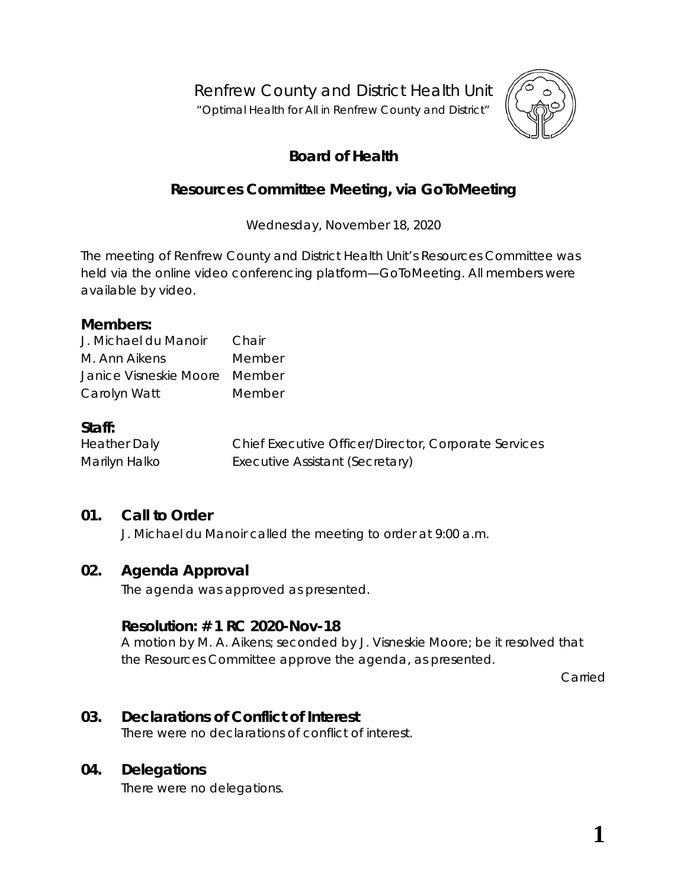Renfrew County and District Health Unit

"*Optimal Health for All in Renfrew County and District"*



# **Board of Health**

# **Resources Committee Meeting, via** *GoToMeeting*

Wednesday, November 18, 2020

The meeting of Renfrew County and District Health Unit's Resources Committee was held via the online video conferencing platform—*GoToMeeting*. All members were available by video.

### **Members:**

| J. Michael du Manoir          | Chair  |
|-------------------------------|--------|
| M. Ann Aikens                 | Member |
| Janice Visneskie Moore Member |        |
| Carolyn Watt                  | Member |

### **Staff:**

Heather Daly Chief Executive Officer/Director, Corporate Services Marilyn Halko **Executive Assistant (Secretary)** 

## **01. Call to Order**

J. Michael du Manoir called the meeting to order at 9:00 a.m.

### **02. Agenda Approval**

The agenda was approved as presented.

### **Resolution: # 1 RC 2020-Nov-18**

A motion by M. A. Aikens; seconded by J. Visneskie Moore; be it resolved that the Resources Committee approve the agenda, as presented.

Carried

## **03. Declarations of Conflict of Interest**

There were no declarations of conflict of interest.

## **04. Delegations**

There were no delegations.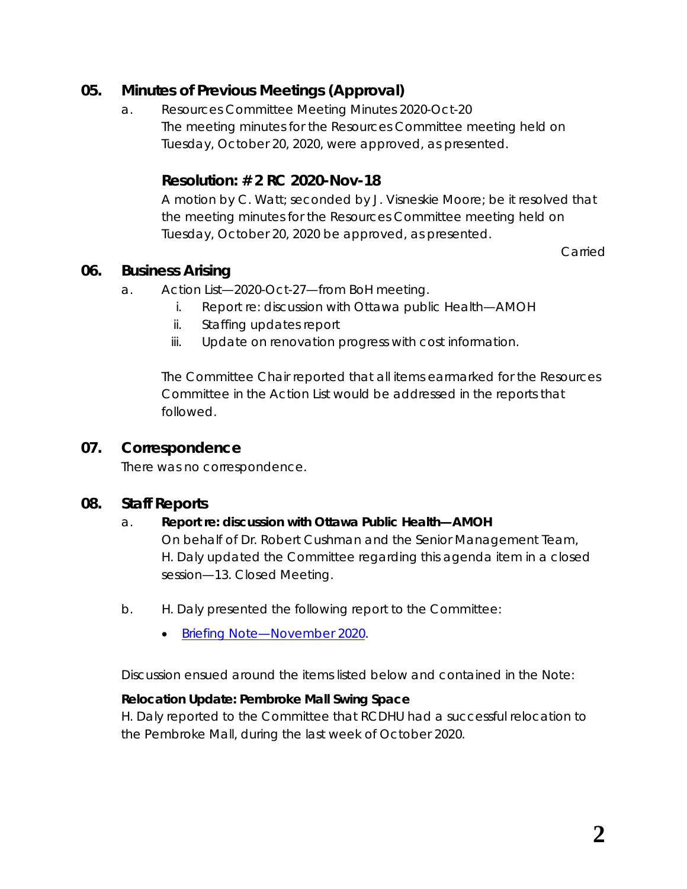## **05. Minutes of Previous Meetings (Approval)**

a. Resources Committee Meeting Minutes 2020-Oct-20 The meeting minutes for the Resources Committee meeting held on Tuesday, October 20, 2020, were approved, as presented.

## **Resolution: # 2 RC 2020-Nov-18**

A motion by C. Watt; seconded by J. Visneskie Moore; be it resolved that the meeting minutes for the Resources Committee meeting held on Tuesday, October 20, 2020 be approved, as presented.

Carried

## **06. Business Arising**

- a. Action List—2020-Oct-27—from BoH meeting.
	- i. Report re: discussion with Ottawa public Health—AMOH
	- ii. Staffing updates report
	- iii. Update on renovation progress with cost information.

The Committee Chair reported that all items earmarked for the Resources Committee in the Action List would be addressed in the reports that followed.

### **07. Correspondence**

There was no correspondence.

### **08. Staff Reports**

#### a. **Report re: discussion with Ottawa Public Health—AMOH**

On behalf of Dr. Robert Cushman and the Senior Management Team, H. Daly updated the Committee regarding this agenda item in a closed session—13. Closed Meeting.

- b. H. Daly presented the following report to the Committee:
	- [Briefing Note—November](https://www.rcdhu.com/wp-content/uploads/2020/12/08.-b.-Briefing-Note-Nov-2020.pdf) 2020.

Discussion ensued around the items listed below and contained in the *Note*:

#### **Relocation Update: Pembroke Mall Swing Space**

H. Daly reported to the Committee that RCDHU had a successful relocation to the Pembroke Mall, during the last week of October 2020.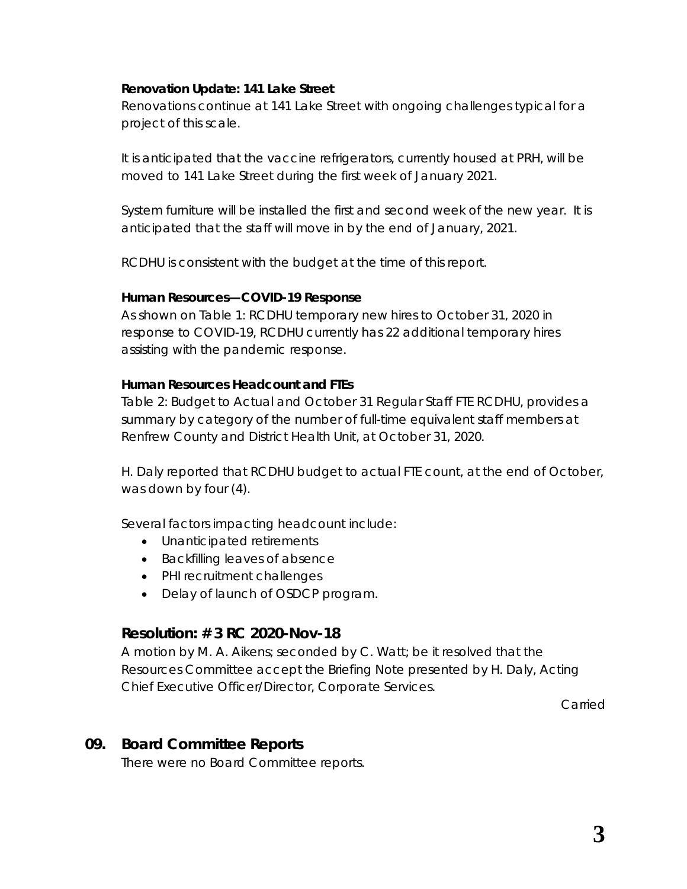#### **Renovation Update: 141 Lake Street**

Renovations continue at 141 Lake Street with ongoing challenges typical for a project of this scale.

It is anticipated that the vaccine refrigerators, currently housed at PRH, will be moved to 141 Lake Street during the first week of January 2021.

System furniture will be installed the first and second week of the new year. It is anticipated that the staff will move in by the end of January, 2021.

RCDHU is consistent with the budget at the time of this report.

#### **Human Resources—COVID-19 Response**

As shown on *Table 1: RCDHU temporary new hires to October 31, 2020 in response to COVID-19*, RCDHU currently has 22 additional temporary hires assisting with the pandemic response.

#### **Human Resources Headcount and FTEs**

*Table 2: Budget to Actual and October 31 Regular Staff FTE RCDHU*, provides a summary by category of the number of full-time equivalent staff members at Renfrew County and District Health Unit, at October 31, 2020.

H. Daly reported that RCDHU budget to actual FTE count, at the end of October, was down by four (4).

Several factors impacting headcount include:

- Unanticipated retirements
- Backfilling leaves of absence
- PHI recruitment challenges
- Delay of launch of OSDCP program.

### **Resolution: # 3 RC 2020-Nov-18**

A motion by M. A. Aikens; seconded by C. Watt; be it resolved that the Resources Committee accept the Briefing Note presented by H. Daly, Acting Chief Executive Officer/Director, Corporate Services.

Carried

### **09. Board Committee Reports**

There were no Board Committee reports.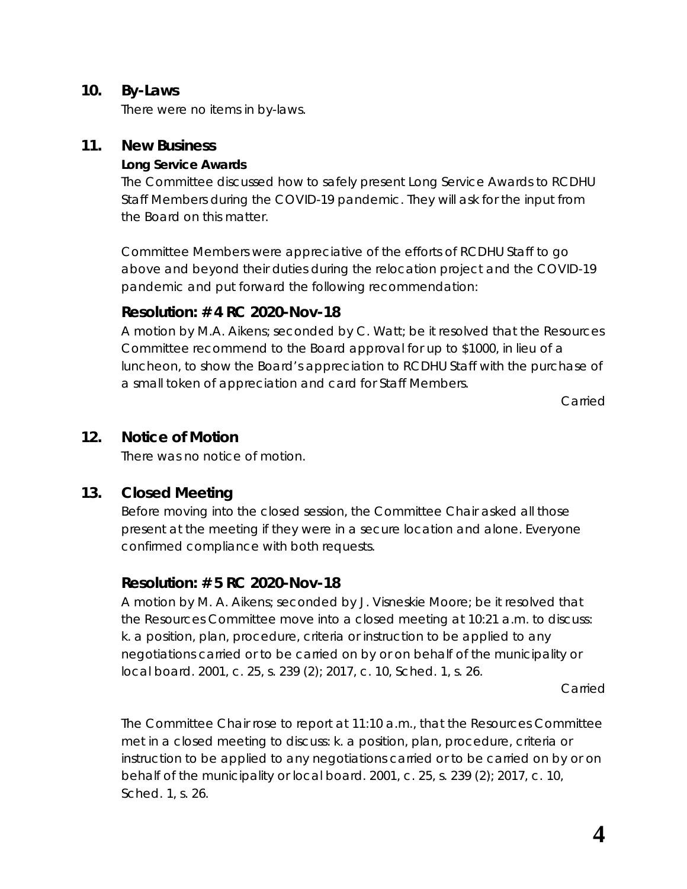### **10. By-Laws**

There were no items in by-laws.

## **11. New Business**

### **Long Service Awards**

The Committee discussed how to safely present Long Service Awards to RCDHU Staff Members during the COVID-19 pandemic. They will ask for the input from the Board on this matter.

Committee Members were appreciative of the efforts of RCDHU Staff to go above and beyond their duties during the relocation project and the COVID-19 pandemic and put forward the following recommendation:

## **Resolution: # 4 RC 2020-Nov-18**

A motion by M.A. Aikens; seconded by C. Watt; be it resolved that the Resources Committee recommend to the Board approval for up to \$1000, in lieu of a luncheon, to show the Board's appreciation to RCDHU Staff with the purchase of a small token of appreciation and card for Staff Members.

Carried

## **12. Notice of Motion**

There was no notice of motion.

## **13. Closed Meeting**

Before moving into the closed session, the Committee Chair asked all those present at the meeting if they were in a secure location and alone. Everyone confirmed compliance with both requests.

## **Resolution: # 5 RC 2020-Nov-18**

A motion by M. A. Aikens; seconded by J. Visneskie Moore; be it resolved that the Resources Committee move into a closed meeting at 10:21 a.m. to discuss: k. a position, plan, procedure, criteria or instruction to be applied to any negotiations carried or to be carried on by or on behalf of the municipality or local board. 2001, c. 25, s. 239 (2); 2017, c. 10, Sched. 1, s. 26.

Carried

The Committee Chair rose to report at 11:10 a.m., that the Resources Committee met in a closed meeting to discuss: k. a position, plan, procedure, criteria or instruction to be applied to any negotiations carried or to be carried on by or on behalf of the municipality or local board. 2001, c. 25, s. 239 (2); 2017, c. 10, Sched. 1, s. 26.